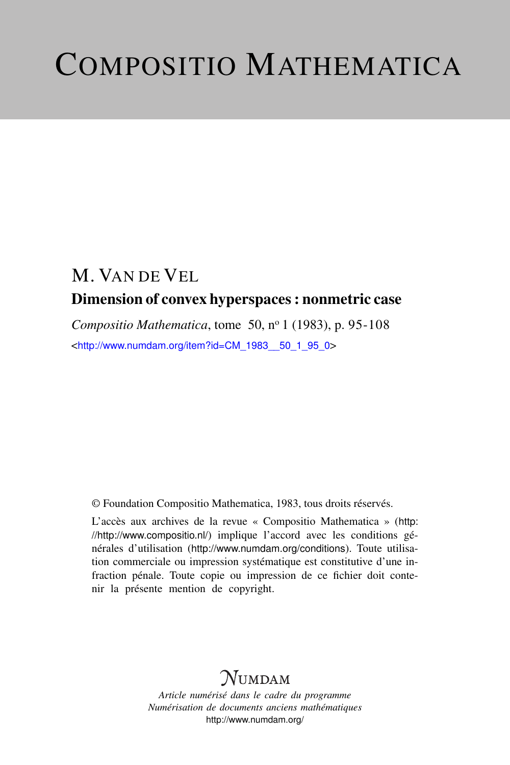# COMPOSITIO MATHEMATICA

# M. VAN DE VEL Dimension of convex hyperspaces : nonmetric case

*Compositio Mathematica*, tome 50, nº 1 (1983), p. 95-108 <[http://www.numdam.org/item?id=CM\\_1983\\_\\_50\\_1\\_95\\_0](http://www.numdam.org/item?id=CM_1983__50_1_95_0)>

© Foundation Compositio Mathematica, 1983, tous droits réservés.

L'accès aux archives de la revue « Compositio Mathematica » ([http:](http://http://www.compositio.nl/) [//http://www.compositio.nl/](http://http://www.compositio.nl/)) implique l'accord avec les conditions générales d'utilisation (<http://www.numdam.org/conditions>). Toute utilisation commerciale ou impression systématique est constitutive d'une infraction pénale. Toute copie ou impression de ce fichier doit contenir la présente mention de copyright.

# **NUMDAM**

*Article numérisé dans le cadre du programme Numérisation de documents anciens mathématiques* <http://www.numdam.org/>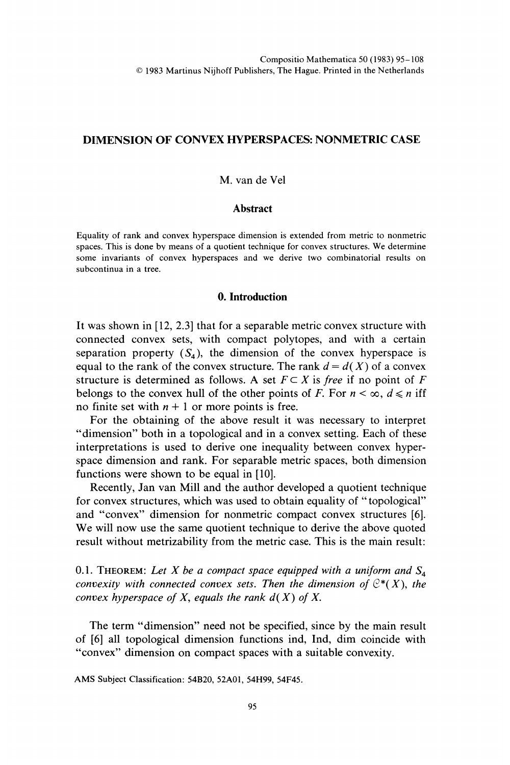## DIMENSION OF CONVEX HYPERSPACES: NONMETRIC CASE

#### M. van de Vel

#### **Abstract**

Equality of rank and convex hyperspace dimension is extended from metric to nonmetric spaces. This is done by means of a quotient technique for convex structures. We determine some invariants of convex hyperspaces and we derive two combinatorial results on subcontinua in a tree.

## 0. Introduction

It was shown in [12, 2.3] that for a separable metric convex structure with connected convex sets, with compact polytopes, and with a certain separation property  $(S_4)$ , the dimension of the convex hyperspace is equal to the rank of the convex structure. The rank  $d = d(X)$  of a convex structure is determined as follows. A set  $F \subset X$  is free if no point of F belongs to the convex hull of the other points of F. For  $n < \infty$ ,  $d \le n$  iff no finite set with  $n + 1$  or more points is free.

For the obtaining of the above result it was necessary to interpret "dimension" both in a topological and in a convex setting. Each of these interpretations is used to derive one inequality between convex hyperspace dimension and rank. For separable metric spaces, both dimension functions were shown to be equal in [10].

Recently, Jan van Mill and the author developed a quotient technique for convex structures, which was used to obtain equality of " topological" and "convex" dimension for nonmetric compact convex structures [6]. We will now use the same quotient technique to derive the above quoted result without metrizability from the metric case. This is the main result:

0.1. THEOREM: Let X be a compact space equipped with a uniform and  $S_4$ convexity with connected convex sets. Then the dimension of  $\mathbb{C}^*(X)$ , the convex hyperspace of  $X$ , equals the rank  $d(X)$  of  $X$ .

The term "dimension" need not be specified, since by the main result of [6] all topological dimension functions ind, Ind, dim coincide with "convex" dimension on compact spaces with a suitable convexity.

AMS Subject Classification: 54B20, 52A01, 54H99, 54F45.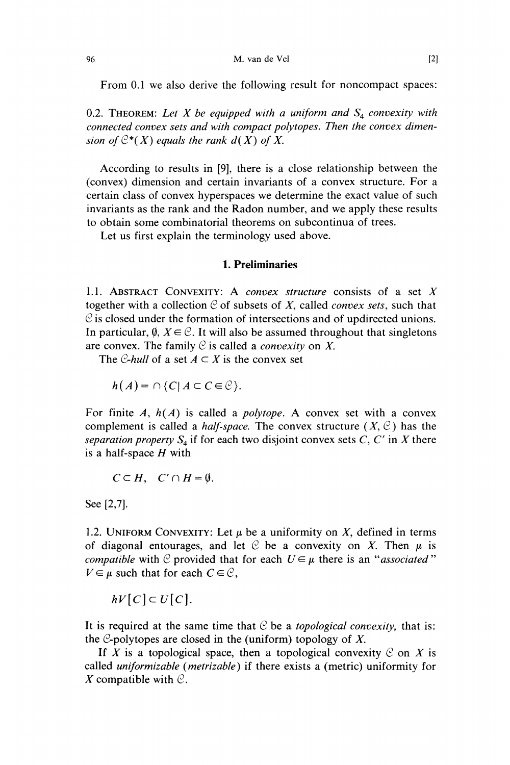From 0.1 we also derive the following result for noncompact spaces:

0.2. THEOREM: Let X be equipped with a uniform and  $S_4$  convexity with connected convex sets and with compact polytopes. Then the convex dimension of  $C^*(X)$  equals the rank  $d(X)$  of X.

According to results in [9], there is a close relationship between the (convex) dimension and certain invariants of a convex structure. For a certain class of convex hyperspaces we determine the exact value of such invariants as the rank and the Radon number, and we apply these results to obtain some combinatorial theorems on subcontinua of trees.

Let us first explain the terminology used above.

## 1. Preliminaries

1.1. ABSTRACT CONVEXITY: A *convex structure* consists of a set  $X$ together with a collection  $C$  of subsets of X, called *convex sets*, such that  $\mathcal C$  is closed under the formation of intersections and of updirected unions. In particular,  $\emptyset$ ,  $X \in \mathcal{C}$ . It will also be assumed throughout that singletons are convex. The family  $C$  is called a *convexity* on X.

The C-hull of a set  $A \subset X$  is the convex set

$$
h(A) = \cap \{C \mid A \subset C \in \mathcal{C}\}.
$$

For finite A,  $h(A)$  is called a *polytope*. A convex set with a convex complement is called a *half-space*. The convex structure  $(X, \mathcal{C})$  has the separation property  $S_4$  if for each two disjoint convex sets C, C' in X there is a half-space  $H$  with

$$
C\subset H,\quad C'\cap H=\emptyset.
$$

See [2,7].

1.2. UNIFORM CONVEXITY: Let  $\mu$  be a uniformity on X, defined in terms of diagonal entourages, and let  $C$  be a convexity on X. Then  $\mu$  is *compatible* with C provided that for each  $U \in \mu$  there is an "associated"  $V \in \mu$  such that for each  $C \in \mathcal{C}$ ,

 $hV[C] \subset U[C]$ .

It is required at the same time that  $C$  be a *topological convexity*, that is: the  $\mathcal{C}$ -polytopes are closed in the (uniform) topology of X.

If X is a topological space, then a topological convexity  $C$  on X is called uniformizable (metrizable) if there exists a (metric) uniformity for X compatible with  $\mathcal{C}$ .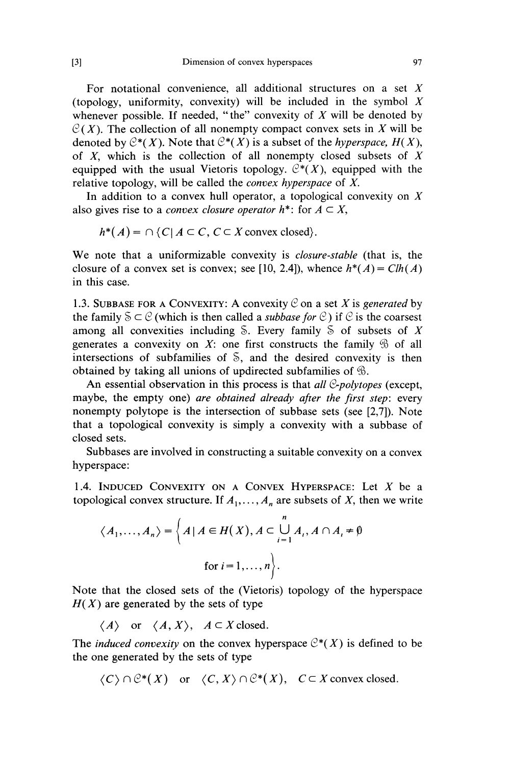For notational convenience, all additional structures on a set  $X$ (topology, uniformity, convexity) will be included in the symbol  $X$ whenever possible. If needed, "the" convexity of  $X$  will be denoted by  $C(X)$ . The collection of all nonempty compact convex sets in X will be denoted by  $C^*(X)$ . Note that  $C^*(X)$  is a subset of the *hyperspace*,  $H(X)$ , of  $X$ , which is the collection of all nonempty closed subsets of  $X$ equipped with the usual Vietoris topology.  $\mathcal{C}^*(X)$ , equipped with the relative topology, will be called the convex hyperspace of X.

In addition to a convex hull operator, a topological convexity on  $X$ also gives rise to a *convex closure operator*  $h^*$ : for  $A \subset X$ ,

$$
h^*(A) = \cap \{C \mid A \subset C, C \subset X \text{ convex closed}\}.
$$

We note that a uniformizable convexity is closure-stable (that is, the closure of a convex set is convex; see [10, 2.4]), whence  $h^*(A) = Ch(A)$ in this case.

1.3. SUBBASE FOR A CONVEXITY: A convexity  $\mathcal C$  on a set X is generated by the family  $S \subset \mathcal{C}$  (which is then called a *subbase for*  $\mathcal{C}$ ) if  $\mathcal{C}$  is the coarsest among all convexities including  $\delta$ . Every family  $\delta$  of subsets of X generates a convexity on X: one first constructs the family  $\mathcal{D}$  of all intersections of subfamilies of  $\delta$ , and the desired convexity is then obtained by taking all unions of updirected subfamilies of  $\mathcal{B}$ .

An essential observation in this process is that all  $C$ -polytopes (except, maybe, the empty one) are obtained already after the first step: every nonempty polytope is the intersection of subbase sets (see [2,7]). Note that a topological convexity is simply a convexity with a subbase of closed sets.

Subbases are involved in constructing a suitable convexity on a convex hyperspace:

1.4. INDUCED CONVEXITY ON A CONVEX HYPERSPACE: Let  $X$  be a topological convex structure. If  $A_1, \ldots, A_n$  are subsets of X, then we write

$$
\langle A_1, \dots, A_n \rangle = \left\{ A \mid A \in H(X), A \subset \bigcup_{i=1}^n A_i, A \cap A_i \neq \emptyset \right\}
$$
  
for  $i = 1, \dots, n \left\}.$ 

Note that the closed sets of the (Vietoris) topology of the hyperspace  $H(X)$  are generated by the sets of type

 $\langle A \rangle$  or  $\langle A, X \rangle$ ,  $A \subset X$  closed.

The *induced convexity* on the convex hyperspace  $C^*(X)$  is defined to be the one generated by the sets of type

 $\langle C \rangle \cap \mathcal{C}^*(X)$  or  $\langle C, X \rangle \cap \mathcal{C}^*(X)$ ,  $C \subset X$  convex closed.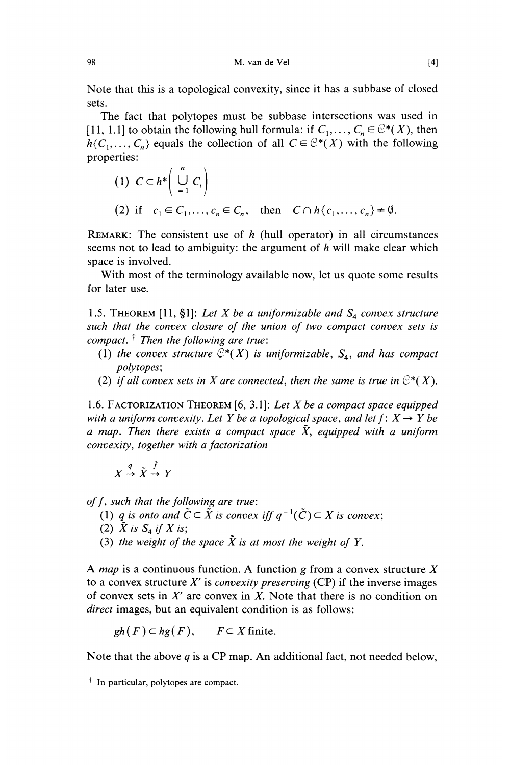Note that this is a topological convexity, since it has a subbase of closed sets.

The fact that polytopes must be subbase intersections was used in [11, 1.1] to obtain the following hull formula: if  $C_1, \ldots, C_n \in \mathcal{C}^*(X)$ , then  $h\{C_1, \ldots, C_n\}$  equals the collection of all  $C \in \mathcal{C}^*(X)$  with the following properties:

(1) 
$$
C \subset h^* \left( \bigcup_{i=1}^n C_i \right)
$$
  
\n(2) if  $c_1 \in C_1, ..., c_n \in C_n$ , then  $C \cap h \langle c_1, ..., c_n \rangle \neq \emptyset$ .

REMARK: The consistent use of  $h$  (hull operator) in all circumstances seems not to lead to ambiguity: the argument of  $h$  will make clear which space is involved.

With most of the terminology available now, let us quote some results for later use.

1.5. THEOREM [11, §1]: Let X be a uniformizable and  $S_4$  convex structure such that the convex closure of the union of two compact convex sets is compact.  $\dagger$  Then the following are true:

- (1) the convex structure  $C^*(X)$  is uniformizable,  $S_4$ , and has compact polytopes;
- (2) if all convex sets in X are connected, then the same is true in  $\mathbb{C}^*(X)$ .

1.6. FACTORIZATION THEOREM  $[6, 3.1]$ : Let X be a compact space equipped with a uniform convexity. Let Y be a topological space, and let  $f: X \rightarrow Y$  be a map. Then there exists a compact space  $\tilde{X}$ , equipped with a uniform convexity, together with a factorization

$$
X \xrightarrow{q} \tilde{X} \xrightarrow{f} Y
$$

of f, such that the following are true:

- (1) q is onto and  $\tilde{C} \subset \tilde{X}$  is convex iff  $q^{-1}(\tilde{C}) \subset X$  is convex;
- (2)  $\tilde{X}$  is  $S_4$  if  $X$  is;
- (3) the weight of the space  $\tilde{X}$  is at most the weight of Y.

A *map* is a continuous function. A function g from a convex structure  $X$ to a convex structure  $X'$  is *convexity preserving* (CP) if the inverse images of convex sets in  $X'$  are convex in  $X$ . Note that there is no condition on direct images, but an equivalent condition is as follows:

$$
gh(F) \subset hg(F)
$$
,  $F \subset X$  finite.

Note that the above  $q$  is a CP map. An additional fact, not needed below,

<sup>&</sup>lt;sup>†</sup> In particular, polytopes are compact.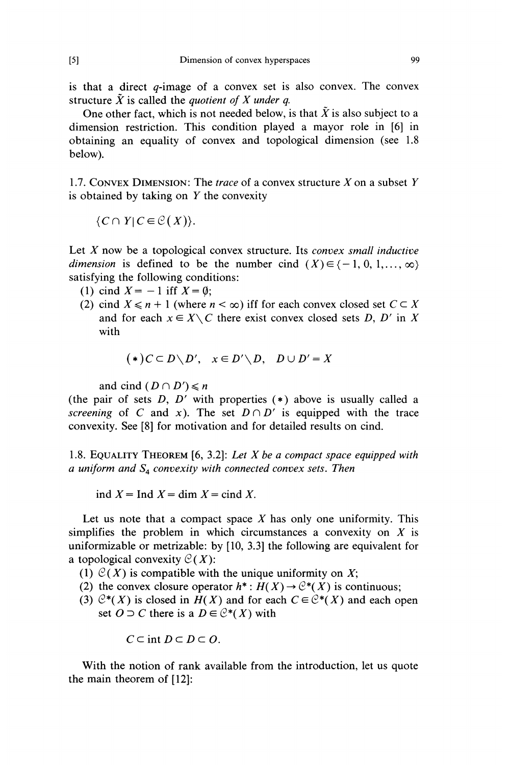is that a direct  $q$ -image of a convex set is also convex. The convex structure  $\tilde{X}$  is called the *quotient of X under q.* 

One other fact, which is not needed below, is that  $\tilde{X}$  is also subject to a dimension restriction. This condition played a mayor role in [6] in obtaining an equality of convex and topological dimension (see 1.8 below).

1.7. CONVEX DIMENSION: The *trace* of a convex structure  $X$  on a subset  $Y$ is obtained by taking on  $Y$  the convexity

 $\{C \cap Y | C \in \mathcal{C}(X)\}.$ 

Let  $X$  now be a topological convex structure. Its *convex small inductive* dimension is defined to be the number cind  $(X) \in \{-1, 0, 1, \ldots, \infty\}$ satisfying the following conditions:

- (1) cind  $X = -1$  iff  $X = \emptyset$ ;
- (2) cind  $X \le n + 1$  (where  $n < \infty$ ) iff for each convex closed set  $C \subset X$ and for each  $x \in X \setminus C$  there exist convex closed sets D, D' in X with

$$
(*)C \subset D \setminus D', \quad x \in D' \setminus D, \quad D \cup D' = X
$$

and cind  $(D \cap D') \leq n$ 

(the pair of sets  $D$ ,  $D'$  with properties  $(*)$  above is usually called a screening of C and x). The set  $D \cap D'$  is equipped with the trace convexity. See [8] for motivation and for detailed results on cind.

1.8. EQUALITY THEOREM  $[6, 3.2]$ : Let X be a compact space equipped with a uniform and  $S_4$  convexity with connected convex sets. Then

ind  $X = \text{Ind } X = \text{dim } X = \text{cind } X$ .

Let us note that a compact space  $X$  has only one uniformity. This simplifies the problem in which circumstances a convexity on  $X$  is uniformizable or metrizable: by [10, 3.3] the following are equivalent for a topological convexity  $C(X)$ :

- (1)  $\mathcal{C}(X)$  is compatible with the unique uniformity on X;
- (2) the convex closure operator  $h^*: H(X) \to \mathcal{C}^*(X)$  is continuous;
- (3)  $C^*(X)$  is closed in  $H(X)$  and for each  $C \in C^*(X)$  and each open set  $O \supset C$  there is a  $D \in \mathcal{C}^*(X)$  with

$$
C\subset\text{int }D\subset D\subset O.
$$

With the notion of rank available from the introduction, let us quote the main theorem of [12]: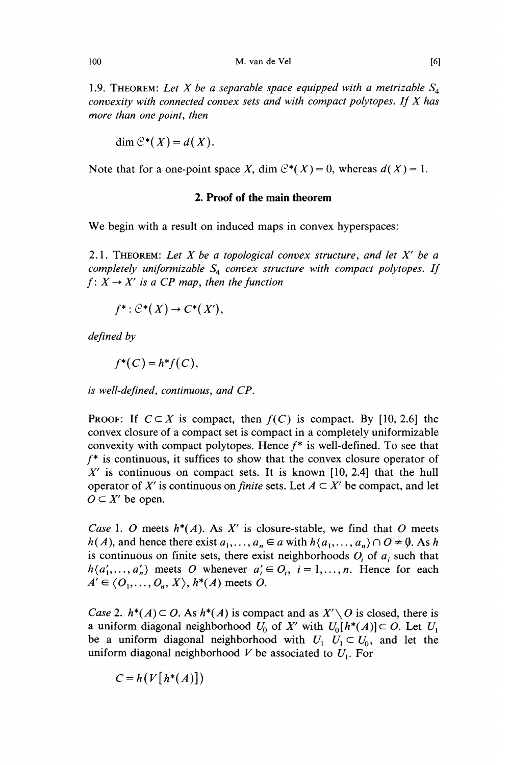1.9. THEOREM: Let X be a separable space equipped with a metrizable  $S<sub>4</sub>$ convexity with connected convex sets and with compact polytopes. If X has more than one point, then

$$
\dim \mathcal{C}^*(X) = d(X).
$$

Note that for a one-point space X, dim  $C^*(X) = 0$ , whereas  $d(X) = 1$ .

#### 2. Proof of the main theorem

We begin with a result on induced maps in convex hyperspaces:

2.1. THEOREM: Let X be a topological convex structure, and let  $X'$  be a completely uniformizable  $S_4$  convex structure with compact polytopes. If  $f: X \rightarrow X'$  is a CP map, then the function

$$
f^* : \mathcal{C}^*(X) \to C^*(X'),
$$

defined by

$$
f^*(C)=h^*f(C),
$$

is well-defined, continuous, and CP.

**PROOF:** If  $C \subset X$  is compact, then  $f(C)$  is compact. By [10, 2.6] the convex closure of a compact set is compact in a completely uniformizable convexity with compact polytopes. Hence  $f^*$  is well-defined. To see that  $f^*$  is continuous, it suffices to show that the convex closure operator of  $X'$  is continuous on compact sets. It is known [10, 2.4] that the hull operator of X' is continuous on *finite* sets. Let  $A \subset X'$  be compact, and let  $O \subset X'$  be open.

Case 1. O meets  $h^*(A)$ . As X' is closure-stable, we find that O meets  $h(A)$ , and hence there exist  $a_1, \ldots, a_n \in a$  with  $h\{a_1, \ldots, a_n\} \cap O \neq \emptyset$ . As h is continuous on finite sets, there exist neighborhoods  $O_i$  of  $a_i$ , such that  $h\{a'_1, \ldots, a'_n\}$  meets O whenever  $a'_i \in O_i$ ,  $i = 1, \ldots, n$ . Hence for each  $A' \in \langle O_1, \ldots, O_n, X \rangle$ ,  $h^*(A)$  meets O.

*Case 2.*  $h^*(A) \subset O$ . As  $h^*(A)$  is compact and as  $X' \setminus O$  is closed, there is a uniform diagonal neighborhood  $U_0$  of X' with  $U_0[h^*(A)] \subset O$ . Let  $U_1$ be a uniform diagonal neighborhood with  $U_1 \cup U_1 \subset U_0$ , and let the uniform diagonal neighborhood V be associated to  $U_1$ . For

$$
C = h(V[h^*(A)])
$$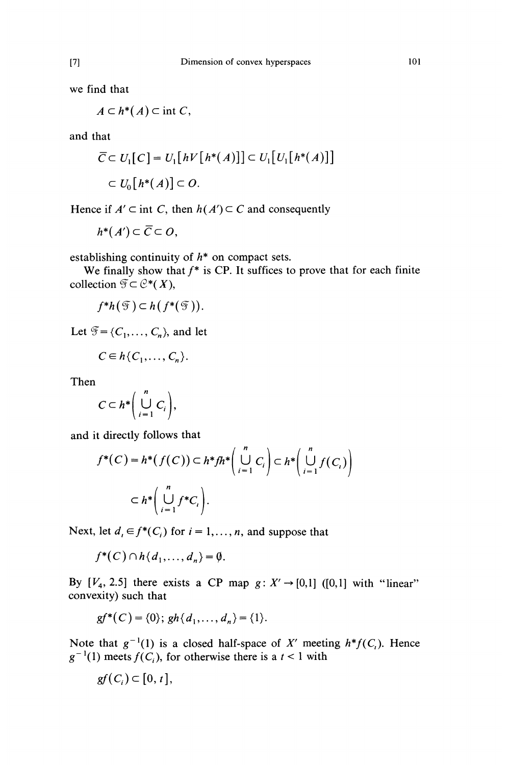we find that

$$
A\subset h^*(A)\subset\text{int }C,
$$

and that

$$
\overline{C} \subset U_1[C] = U_1[hV[h^*(A)]] \subset U_1[U_1[h^*(A)]]
$$
  

$$
\subset U_0[h^*(A)] \subset O.
$$

Hence if  $A' \subset \text{int } C$ , then  $h(A') \subset C$  and consequently

$$
h^*(A') \subset \overline{C} \subset O,
$$

establishing continuity of  $h^*$  on compact sets.

We finally show that  $f^*$  is CP. It suffices to prove that for each finite collection  $\mathfrak{F} \subset \mathcal{C}^*(X)$ ,

$$
f^*h(\mathfrak{F})\subset h(f^*(\mathfrak{F})).
$$

Let  $\mathfrak{F} = \{C_1, \ldots, C_n\}$ , and let

$$
C\in h\{C_1,\ldots,C_n\}.
$$

Then

$$
C\subset h^*\bigg(\bigcup_{i=1}^n C_i\bigg),\,
$$

and it directly follows that

$$
f^*(C) = h^*(f(C)) \subset h^* f h^* \left( \bigcup_{i=1}^n C_i \right) \subset h^* \left( \bigcup_{i=1}^n f(C_i) \right)
$$

$$
\subset h^* \left( \bigcup_{i=1}^n f^* C_i \right).
$$

Next, let  $d_i \in f^*(C_i)$  for  $i = 1, ..., n$ , and suppose that

$$
f^*(C) \cap h\{d_1,\ldots,d_n\} = \emptyset.
$$

By  $[V_4, 2.5]$  there exists a CP map  $g: X' \rightarrow [0,1]$  ([0,1] with "linear" convexity) such that

$$
gf^*(C) = \{0\}; gh\{d_1, \ldots, d_n\} = \{1\}.
$$

Note that  $g^{-1}(1)$  is a closed half-space of X' meeting  $h^*f(C_i)$ . Hence  $g^{-1}(1)$  meets  $f(C_i)$ , for otherwise there is a  $t < 1$  with

$$
gf(C_i)\subset [0, t],
$$

101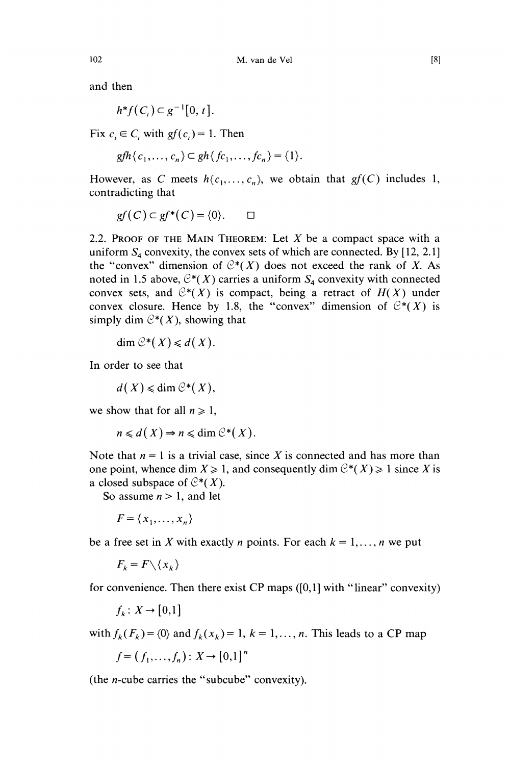and then

$$
h^*f(C_i)\subset g^{-1}[0,t].
$$

Fix  $c_i \in C$ , with  $gf(c_i) = 1$ . Then

$$
gfh\{c_1,\ldots,c_n\} \subset gh\{fc_1,\ldots,fc_n\} = \{1\}.
$$

However, as C meets  $h(c_1, \ldots, c_n)$ , we obtain that  $gf(C)$  includes 1, contradicting that

$$
gf(C) \subset gf^*(C) = \{0\}. \qquad \Box
$$

2.2. PROOF OF THE MAIN THEOREM: Let  $X$  be a compact space with a uniform  $S_4$  convexity, the convex sets of which are connected. By [12, 2.1] the "convex" dimension of  $C^*(X)$  does not exceed the rank of X. As noted in 1.5 above,  $C^*(X)$  carries a uniform  $S_4$  convexity with connected convex sets, and  $C^*(X)$  is compact, being a retract of  $H(X)$  under convex closure. Hence by 1.8, the "convex" dimension of  $C^*(X)$  is simply dim  $C^*(X)$ , showing that

$$
\dim \mathcal{C}^*(X) \leq d(X).
$$

In order to see that

 $d(X) \leq d$ im  $\mathcal{C}^*(X)$ ,

we show that for all  $n \geq 1$ ,

$$
n \leq d(X) \Rightarrow n \leq \dim \mathcal{C}^*(X).
$$

Note that  $n = 1$  is a trivial case, since X is connected and has more than one point, whence dim  $X \ge 1$ , and consequently dim  $C^*(X) \ge 1$  since X is a closed subspace of  $C^*(X)$ .

So assume  $n > 1$ , and let

$$
F = \{x_1, \dots, x_n\}
$$

be a free set in X with exactly *n* points. For each  $k = 1, \ldots, n$  we put

 $F_k = F \setminus \{x_k\}$ 

for convenience. Then there exist CP maps ([0,1] with "linear" convexity)

 $f_k: X \to [0,1]$ 

with  $f_k(F_k) = \{0\}$  and  $f_k(x_k) = 1, k = 1, \ldots, n$ . This leads to a CP map

$$
f = (f_1, ..., f_n) : X \to [0,1]^n
$$

(the n-cube carries the " subcube" convexity).

102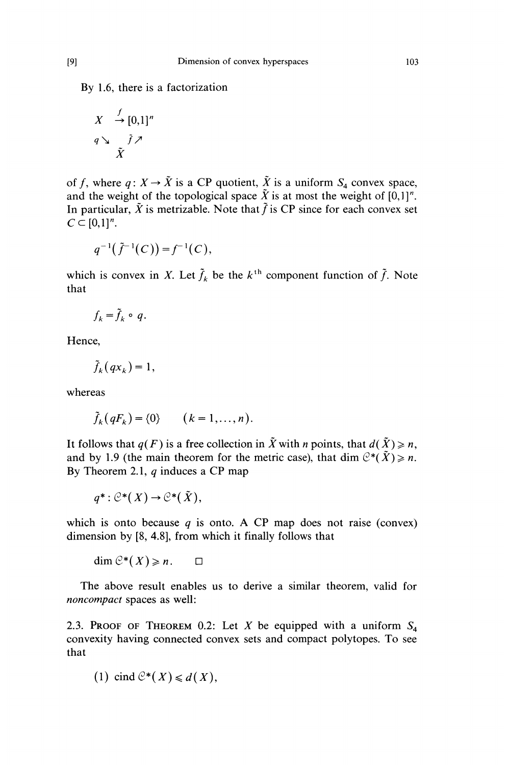By 1.6, there is a factorization

$$
X \stackrel{f}{\rightarrow} [0,1]^n
$$
  
 
$$
q \searrow \tilde{f} \nearrow
$$
  
 
$$
\tilde{X}
$$

of f, where  $q: X \to \tilde{X}$  is a CP quotient,  $\tilde{X}$  is a uniform  $S_4$  convex space, and the weight of the topological space  $\tilde{X}$  is at most the weight of  $[0,1]^n$ . In particular,  $\tilde{X}$  is metrizable. Note that  $\tilde{f}$  is CP since for each convex set  $C \subset [0,1]^n$ .

$$
q^{-1}(\tilde{f}^{-1}(C)) = f^{-1}(C),
$$

which is convex in X. Let  $\tilde{f}_k$  be the  $k^{\text{th}}$  component function of  $\tilde{f}_k$ . Note that

$$
f_k = \tilde{f}_k \circ q.
$$

Hence,

$$
\tilde{f}_k(qx_k) = 1,
$$

whereas

$$
\tilde{f}_k(qF_k) = \{0\} \qquad (k = 1, \ldots, n).
$$

It follows that  $q(F)$  is a free collection in  $\tilde{X}$  with n points, that  $d(\tilde{X}) \ge n$ , and by 1.9 (the main theorem for the metric case), that dim  $C^*(\tilde{X}) \ge n$ . By Theorem 2.1,  $q$  induces a CP map

$$
q^*: \mathcal{C}^*(X) \to \mathcal{C}^*(\tilde{X}),
$$

which is onto because  $q$  is onto. A CP map does not raise (convex) dimension by [8, 4.8], from which it finally follows that

dim  $\mathcal{C}^*(X) \geq n$ .  $\Box$ 

The above result enables us to derive a similar theorem, valid for noncompact spaces as well:

2.3. PROOF OF THEOREM 0.2: Let X be equipped with a uniform  $S_4$ convexity having connected convex sets and compact polytopes. To see that

(1) 
$$
cind \mathcal{C}^*(X) \leq d(X)
$$
,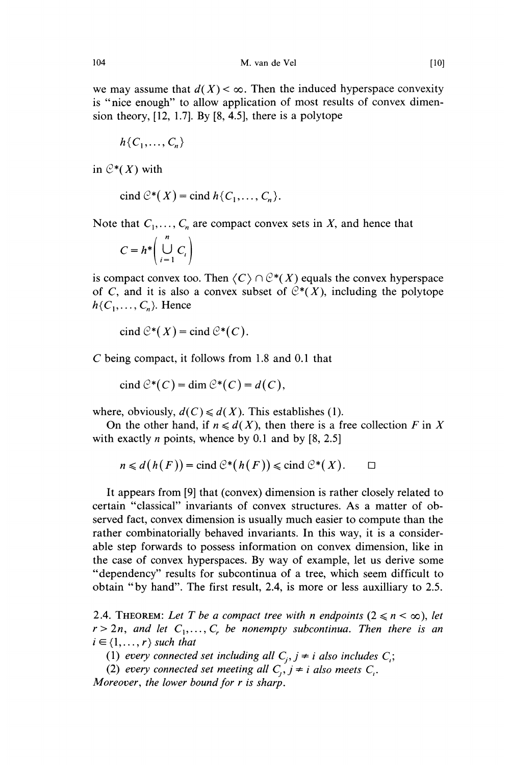we may assume that  $d(X) < \infty$ . Then the induced hyperspace convexity is "nice enough" to allow application of most results of convex dimension theory, [12, 1.7]. By [8, 4.5], there is a polytope

$$
h\{C_1,\ldots,C_n\}
$$

in  $C^*(X)$  with

$$
cind \mathcal{C}^*(X) = cind h\{C_1,\ldots,C_n\}.
$$

Note that  $C_1, \ldots, C_n$  are compact convex sets in X, and hence that

$$
C = h^* \left( \bigcup_{i=1}^n C_i \right)
$$

is compact convex too. Then  $\langle C \rangle \cap \mathcal{C}^*(X)$  equals the convex hyperspace of C, and it is also a convex subset of  $C^*(X)$ , including the polytope  $h\{C_1, \ldots, C_n\}$ . Hence

$$
cind \mathcal{C}^*(X) = cind \mathcal{C}^*(C).
$$

C being compact, it follows from 1.8 and 0.1 that

cind  $\mathcal{C}^*(C)$  = dim  $\mathcal{C}^*(C)$  = d(C),

where, obviously,  $d(C) \le d(X)$ . This establishes (1).

On the other hand, if  $n \le d(X)$ , then there is a free collection F in X with exactly *n* points, whence by 0.1 and by  $[8, 2.5]$ 

$$
n \leq d(h(F)) = \text{cind }\mathcal{C}^*(h(F)) \leq \text{cind }\mathcal{C}^*(X). \qquad \Box
$$

It appears from [9] that (convex) dimension is rather closely related to certain "classical" invariants of convex structures. As a matter of observed fact, convex dimension is usually much easier to compute than the rather combinatorially behaved invariants. In this way, it is a considerable step forwards to possess information on convex dimension, like in the case of convex hyperspaces. By way of example, let us derive some "dependency" results for subcontinua of a tree, which seem difficult to obtain "by hand". The first result, 2.4, is more or less auxilliary to 2.5.

2.4. THEOREM: Let T be a compact tree with n endpoints  $(2 \le n \le \infty)$ , let  $r > 2n$ , and let  $C_1, \ldots, C_r$  be nonempty subcontinua. Then there is an  $i \in \{1, \ldots, r\}$  such that

(1) every connected set including all  $C_i$ ,  $j \neq i$  also includes  $C_i$ ;

(2) every connected set meeting all  $C_i$ ,  $j \neq i$  also meets  $C_i$ . Moreover, the lower bound for r is sharp.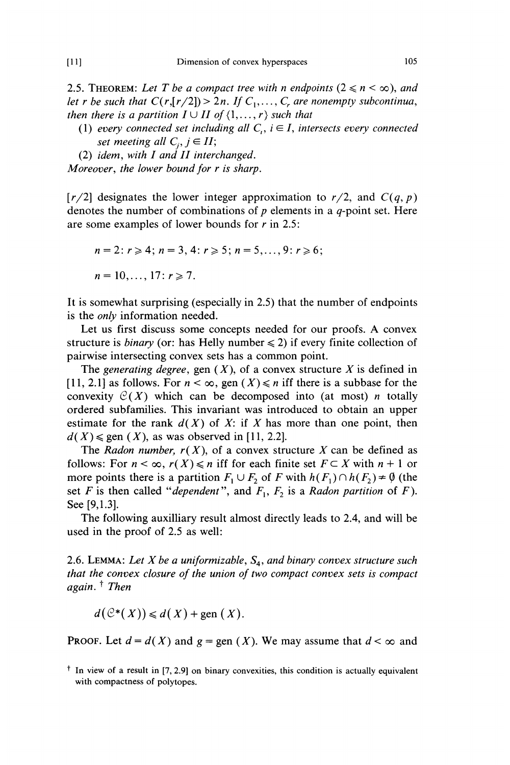2.5. THEOREM: Let T be a compact tree with n endpoints  $(2 \le n \le \infty)$ , and let r be such that  $C(r,[r/2]) > 2n$ . If  $C_1, \ldots, C_r$  are nonempty subcontinua, then there is a partition  $I \cup II$  of  $\{1, \ldots, r\}$  such that

(1) every connected set including all  $C_i$ ,  $i \in I$ , intersects every connected set meeting all  $C_i$ ,  $j \in H$ ;

(2) idem, with  $I$  and  $II$  interchanged.

Moreover, the lower bound for r is sharp.

 $[r/2]$  designates the lower integer approximation to  $r/2$ , and  $C(q, p)$ denotes the number of combinations of  $p$  elements in a  $q$ -point set. Here are some examples of lower bounds for r in 2.5:

$$
n = 2: r \ge 4; n = 3, 4: r \ge 5; n = 5, \dots, 9: r \ge 6;
$$
  

$$
n = 10, \dots, 17: r \ge 7.
$$

It is somewhat surprising (especially in 2.5) that the number of endpoints is the only information needed.

Let us first discuss some concepts needed for our proofs. A convex structure is *binary* (or: has Helly number  $\leq 2$ ) if every finite collection of pairwise intersecting convex sets has a common point.

The generating degree, gen  $(X)$ , of a convex structure X is defined in [11, 2.1] as follows. For  $n < \infty$ , gen  $(X) \le n$  iff there is a subbase for the convexity  $C(X)$  which can be decomposed into (at most) *n* totally ordered subfamilies. This invariant was introduced to obtain an upper estimate for the rank  $d(X)$  of X: if X has more than one point, then  $d(X) \le \text{gen}(X)$ , as was observed in [11, 2.2].

The Radon number,  $r(X)$ , of a convex structure X can be defined as follows: For  $n < \infty$ ,  $r(X) \le n$  iff for each finite set  $F \subset X$  with  $n + 1$  or more points there is a partition  $F_1 \cup F_2$  of F with  $h(F_1) \cap h(F_2) \ne \emptyset$  (the set F is then called "dependent", and  $F_1, F_2$  is a Radon partition of F). See [9,1.3].

The following auxilliary result almost directly leads to 2.4, and will be used in the proof of 2.5 as well:

2.6. LEMMA: Let X be a uniformizable,  $S_4$ , and binary convex structure such that the convex closure of the union of two compact convex sets is compact again.  $<sup>†</sup>$  Then</sup>

 $d(\mathcal{C}^*(X)) \le d(X) + \text{gen}(X).$ 

**PROOF.** Let  $d = d(X)$  and  $g = \text{gen}(X)$ . We may assume that  $d < \infty$  and

105

<sup>&</sup>lt;sup> $\dagger$ </sup> In view of a result in [7, 2.9] on binary convexities, this condition is actually equivalent with compactness of polytopes.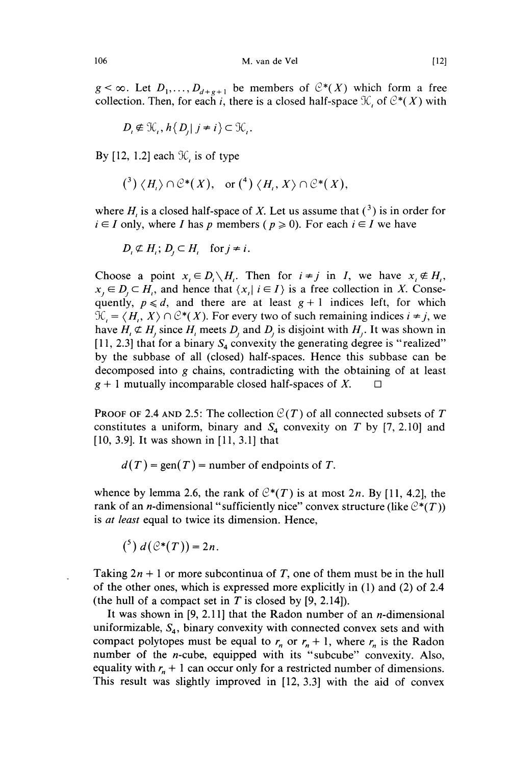$g < \infty$ . Let  $D_1, \ldots, D_{d+g+1}$  be members of  $C^*(X)$  which form a free collection. Then, for each i, there is a closed half-space  $\mathcal{K}$ , of  $\mathcal{C}^*(X)$  with

$$
D_i \notin \mathcal{K}_i, h\{D_i | j \neq i\} \subset \mathcal{K}_i.
$$

By [12, 1.2] each  $\mathcal{K}$ , is of type

$$
({}^{3}) \langle H_{1} \rangle \cap \mathcal{C}^{*}(X), \text{ or } ({}^{4}) \langle H_{1}, X \rangle \cap \mathcal{C}^{*}(X),
$$

where  $H_i$  is a closed half-space of X. Let us assume that  $(3)$  is in order for  $i \in I$  only, where I has p members ( $p \ge 0$ ). For each  $i \in I$  we have

$$
D_i \not\subset H_i; D_j \subset H_i \quad \text{for } j \neq i.
$$

Choose a point  $x_i \in D_i \setminus H_i$ . Then for  $i \neq j$  in I, we have  $x_i \notin H_i$ ,  $x_i \in D_i \subset H_i$ , and hence that  $\{x_i | i \in I\}$  is a free collection in X. Consequently,  $p \le d$ , and there are at least  $g + 1$  indices left, for which  $\mathcal{F}_{i} = \langle H_{i}, X \rangle \cap \mathcal{C}^{*}(X)$ . For every two of such remaining indices  $i \neq j$ , we have  $H_i \not\subset H_j$  since  $H_i$  meets  $D_j$  and  $D_j$  is disjoint with  $H_j$ . It was shown in [11, 2.3] that for a binary  $S_4$  convexity the generating degree is "realized" by the subbase of all (closed) half-spaces. Hence this subbase can be decomposed into g chains, contradicting with the obtaining of at least  $g + 1$  mutually incomparable closed half-spaces of X.  $\Box$ 

**PROOF OF 2.4 AND 2.5: The collection**  $C(T)$  **of all connected subsets of T** constitutes a uniform, binary and  $S_4$  convexity on T by [7, 2.10] and  $[10, 3.9]$ . It was shown in  $[11, 3.1]$  that

 $d(T)$  = gen(T) = number of endpoints of T.

whence by lemma 2.6, the rank of  $C^*(T)$  is at most 2n. By [11, 4.2], the rank of an *n*-dimensional "sufficiently nice" convex structure (like  $C^*(T)$ ) is *at least* equal to twice its dimension. Hence,

$$
({}^{5}) d\left(\mathcal{C}^{*}(T)\right)=2n.
$$

Taking  $2n + 1$  or more subcontinua of T, one of them must be in the hull of the other ones, which is expressed more explicitly in (1) and (2) of 2.4 (the hull of a compact set in T is closed by  $[9, 2.14]$ ).

It was shown in [9, 2.11] that the Radon number of an *n*-dimensional uniformizable,  $S_4$ , binary convexity with connected convex sets and with compact polytopes must be equal to  $r_n$  or  $r_n + 1$ , where  $r_n$  is the Radon number of the n-cube, equipped with its "subcube" convexity. Also, equality with  $r_n + 1$  can occur only for a restricted number of dimensions. This result was slightly improved in [12, 3.3] with the aid of convex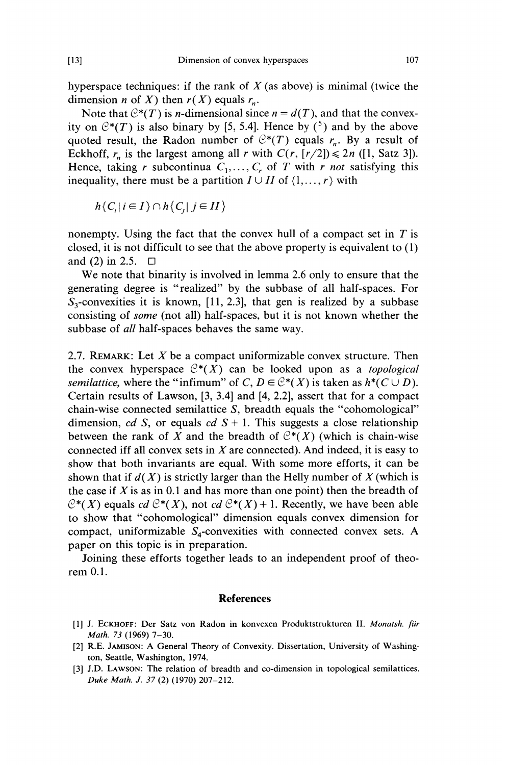hyperspace techniques: if the rank of  $X$  (as above) is minimal (twice the dimension *n* of *X*) then  $r(X)$  equals  $r_n$ .

Note that  $C^*(T)$  is *n*-dimensional since  $n = d(T)$ , and that the convexity on  $C^*(T)$  is also binary by [5, 5.4]. Hence by  $(5)$  and by the above quoted result, the Radon number of  $C^*(T)$  equals  $r_n$ . By a result of Eckhoff,  $r_n$  is the largest among all r with  $C(r, [r/2]) \le 2n$  ([1, Satz 3]). Hence, taking r subcontinua  $C_1, \ldots, C_r$  of T with r not satisfying this inequality, there must be a partition  $I \cup II$  of  $\{1, \ldots, r\}$  with

$$
h\{C_i|i\in I\}\cap h\{C_i|j\in II\}
$$

nonempty. Using the fact that the convex hull of a compact set in  $T$  is closed, it is not difficult to see that the above property is equivalent to (1) and (2) in 2.5.  $\Box$ 

We note that binarity is involved in lemma 2.6 only to ensure that the generating degree is "realized" by the subbase of all half-spaces. For  $S_3$ -convexities it is known, [11, 2.3], that gen is realized by a subbase consisting of some (not all) half-spaces, but it is not known whether the subbase of *all* half-spaces behaves the same way.

2.7. REMARK: Let  $X$  be a compact uniformizable convex structure. Then the convex hyperspace  $C^*(X)$  can be looked upon as a *topological* semilattice, where the "infimum" of C,  $D \in \mathbb{C}^*(X)$  is taken as  $h^*(C \cup D)$ . Certain results of Lawson, [3, 3.4] and [4, 2.2], assert that for a compact chain-wise connected semilattice S, breadth equals the "cohomological" dimension, cd S, or equals cd  $S + 1$ . This suggests a close relationship between the rank of X and the breadth of  $C^*(X)$  (which is chain-wise connected iff all convex sets in  $X$  are connected). And indeed, it is easy to show that both invariants are equal. With some more efforts, it can be shown that if  $d(X)$  is strictly larger than the Helly number of X (which is the case if  $X$  is as in 0.1 and has more than one point) then the breadth of  $C^*(X)$  equals cd  $C^*(X)$ , not cd  $C^*(X) + 1$ . Recently, we have been able to show that "cohomological" dimension equals convex dimension for compact, uniformizable  $S_4$ -convexities with connected convex sets. A paper on this topic is in preparation.

Joining these efforts together leads to an independent proof of theorem 0.1.

#### References

- [1] J. ECKHOFF: Der Satz von Radon in konvexen Produktstrukturen II. Monatsh. für Math. 73 (1969) 7-30.
- [2] R.E. JAMISON: A General Theory of Convexity. Dissertation, University of Washington, Seattle, Washington, 1974.
- [3] J.D. LAWSON: The relation of breadth and co-dimension in topological semilattices. Duke Math. J. 37 (2) (1970) 207-212.